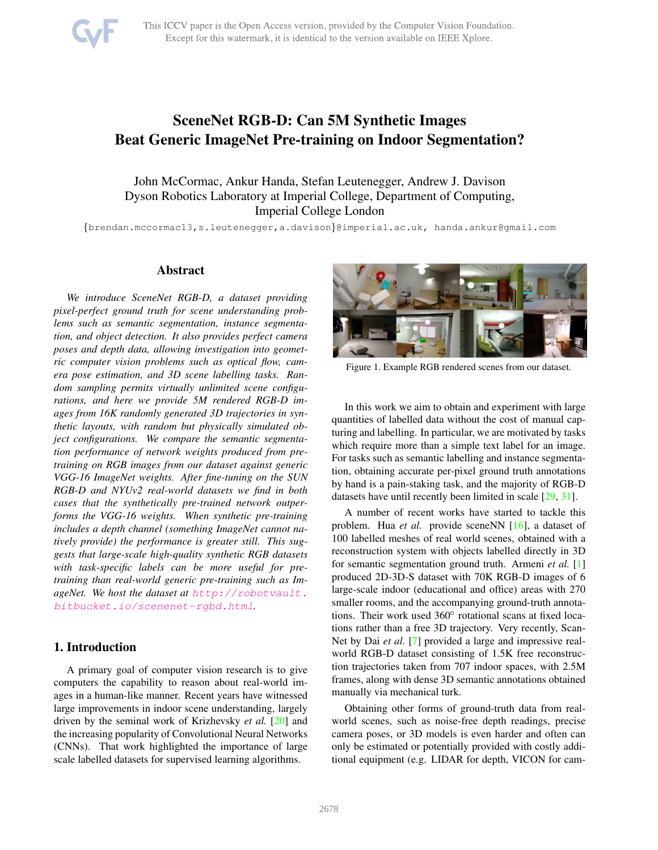# <span id="page-0-0"></span>SceneNet RGB-D: Can 5M Synthetic Images Beat Generic ImageNet Pre-training on Indoor Segmentation?

John McCormac, Ankur Handa, Stefan Leutenegger, Andrew J. Davison Dyson Robotics Laboratory at Imperial College, Department of Computing, Imperial College London

❢brendan.mccormac13,s.leutenegger,a.davison❣@imperial.ac.uk, handa.ankur@gmail.com

## Abstract

*We introduce SceneNet RGB-D, a dataset providing pixel-perfect ground truth for scene understanding problems such as semantic segmentation, instance segmentation, and object detection. It also provides perfect camera poses and depth data, allowing investigation into geometric computer vision problems such as optical flow, camera pose estimation, and 3D scene labelling tasks. Random sampling permits virtually unlimited scene configurations, and here we provide 5M rendered RGB-D images from 16K randomly generated 3D trajectories in synthetic layouts, with random but physically simulated object configurations. We compare the semantic segmentation performance of network weights produced from pretraining on RGB images from our dataset against generic VGG-16 ImageNet weights. After fine-tuning on the SUN RGB-D and NYUv2 real-world datasets we find in both cases that the synthetically pre-trained network outperforms the VGG-16 weights. When synthetic pre-training includes a depth channel (something ImageNet cannot natively provide) the performance is greater still. This suggests that large-scale high-quality synthetic RGB datasets with task-specific labels can be more useful for pretraining than real-world generic pre-training such as ImageNet. We host the dataset at [http://robotvault.](http://robotvault.bitbucket.io/scenenet-rgbd.html) [bitbucket.io/scenenet-rgbd.html](http://robotvault.bitbucket.io/scenenet-rgbd.html).*

## 1. Introduction

A primary goal of computer vision research is to give computers the capability to reason about real-world images in a human-like manner. Recent years have witnessed large improvements in indoor scene understanding, largely driven by the seminal work of Krizhevsky *et al.* [\[20\]](#page-8-0) and the increasing popularity of Convolutional Neural Networks (CNNs). That work highlighted the importance of large scale labelled datasets for supervised learning algorithms.



Figure 1. Example RGB rendered scenes from our dataset.

In this work we aim to obtain and experiment with large quantities of labelled data without the cost of manual capturing and labelling. In particular, we are motivated by tasks which require more than a simple text label for an image. For tasks such as semantic labelling and instance segmentation, obtaining accurate per-pixel ground truth annotations by hand is a pain-staking task, and the majority of RGB-D datasets have until recently been limited in scale [\[29,](#page-8-1) [31\]](#page-9-0).

A number of recent works have started to tackle this problem. Hua *et al.* provide sceneNN [\[16\]](#page-8-2), a dataset of 100 labelled meshes of real world scenes, obtained with a reconstruction system with objects labelled directly in 3D for semantic segmentation ground truth. Armeni *et al.* [\[1\]](#page-8-3) produced 2D-3D-S dataset with 70K RGB-D images of 6 large-scale indoor (educational and office) areas with 270 smaller rooms, and the accompanying ground-truth annotations. Their work used  $360^{\circ}$  rotational scans at fixed locations rather than a free 3D trajectory. Very recently, Scan-Net by Dai *et al.* [\[7\]](#page-8-4) provided a large and impressive realworld RGB-D dataset consisting of 1.5K free reconstruction trajectories taken from 707 indoor spaces, with 2.5M frames, along with dense 3D semantic annotations obtained manually via mechanical turk.

Obtaining other forms of ground-truth data from realworld scenes, such as noise-free depth readings, precise camera poses, or 3D models is even harder and often can only be estimated or potentially provided with costly additional equipment (e.g. LIDAR for depth, VICON for cam-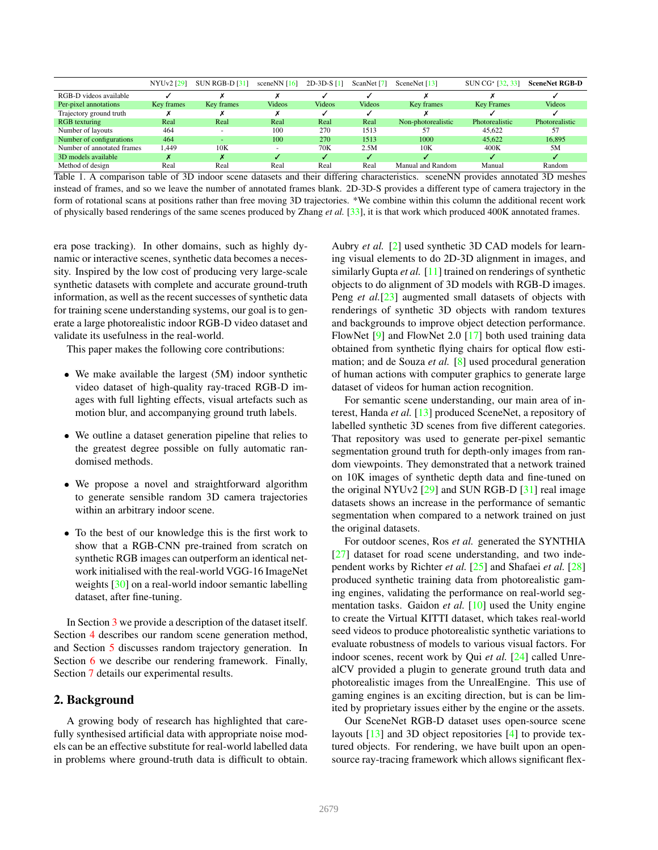<span id="page-1-1"></span>

|                            | NYU <sub>v</sub> 2 [29] | SUN RGB-D [31]           | scene $NN$ [16]          | $2D-3D-S[1]$  | ScanNet [7]   | SceneNet [13]      | SUN CG <sup>*</sup> [32, 33] | <b>SceneNet RGB-D</b> |
|----------------------------|-------------------------|--------------------------|--------------------------|---------------|---------------|--------------------|------------------------------|-----------------------|
| RGB-D videos available     |                         |                          |                          |               |               |                    |                              |                       |
| Per-pixel annotations      | Key frames              | Key frames               | <b>Videos</b>            | <b>Videos</b> | <b>Videos</b> | Key frames         | <b>Key Frames</b>            | <b>Videos</b>         |
| Trajectory ground truth    |                         |                          |                          |               |               |                    |                              |                       |
| RGB texturing              | Real                    | Real                     | Real                     | Real          | Real          | Non-photorealistic | Photorealistic               | <b>Photorealistic</b> |
| Number of layouts          | 464                     | $\overline{\phantom{a}}$ | 100                      | 270           | 1513          | 57                 | 45.622                       | 57                    |
| Number of configurations   | 464                     | $\overline{\phantom{a}}$ | 100                      | 270           | 1513          | 1000               | 45.622                       | 16.895                |
| Number of annotated frames | 1.449                   | 10K                      | $\overline{\phantom{a}}$ | 70K           | 2.5M          | 10K                | 400K                         | 5M                    |
| 3D models available        | x                       |                          |                          |               |               |                    |                              |                       |
| Method of design           | Real                    | Real                     | Real                     | Real          | Real          | Manual and Random  | Manual                       | Random                |

<span id="page-1-0"></span>Table 1. A comparison table of 3D indoor scene datasets and their differing characteristics. sceneNN provides annotated 3D meshes instead of frames, and so we leave the number of annotated frames blank. 2D-3D-S provides a different type of camera trajectory in the form of rotational scans at positions rather than free moving 3D trajectories. \*We combine within this column the additional recent work of physically based renderings of the same scenes produced by Zhang *et al.* [\[33\]](#page-9-2), it is that work which produced 400K annotated frames.

era pose tracking). In other domains, such as highly dynamic or interactive scenes, synthetic data becomes a necessity. Inspired by the low cost of producing very large-scale synthetic datasets with complete and accurate ground-truth information, as well as the recent successes of synthetic data for training scene understanding systems, our goal is to generate a large photorealistic indoor RGB-D video dataset and validate its usefulness in the real-world.

This paper makes the following core contributions:

- ✎ We make available the largest (5M) indoor synthetic video dataset of high-quality ray-traced RGB-D images with full lighting effects, visual artefacts such as motion blur, and accompanying ground truth labels.
- ✎ We outline a dataset generation pipeline that relies to the greatest degree possible on fully automatic randomised methods.
- ✎ We propose a novel and straightforward algorithm to generate sensible random 3D camera trajectories within an arbitrary indoor scene.
- ✎ To the best of our knowledge this is the first work to show that a RGB-CNN pre-trained from scratch on synthetic RGB images can outperform an identical network initialised with the real-world VGG-16 ImageNet weights [\[30\]](#page-9-3) on a real-world indoor semantic labelling dataset, after fine-tuning.

In Section [3](#page-2-0) we provide a description of the dataset itself. Section [4](#page-3-0) describes our random scene generation method, and Section [5](#page-3-1) discusses random trajectory generation. In Section [6](#page-4-0) we describe our rendering framework. Finally, Section [7](#page-5-0) details our experimental results.

# 2. Background

A growing body of research has highlighted that carefully synthesised artificial data with appropriate noise models can be an effective substitute for real-world labelled data in problems where ground-truth data is difficult to obtain.

Aubry *et al.* [\[2\]](#page-8-6) used synthetic 3D CAD models for learning visual elements to do 2D-3D alignment in images, and similarly Gupta *et al.* [\[11\]](#page-8-7) trained on renderings of synthetic objects to do alignment of 3D models with RGB-D images. Peng *et al.*[\[23\]](#page-8-8) augmented small datasets of objects with renderings of synthetic 3D objects with random textures and backgrounds to improve object detection performance. FlowNet [\[9\]](#page-8-9) and FlowNet 2.0 [\[17\]](#page-8-10) both used training data obtained from synthetic flying chairs for optical flow estimation; and de Souza *et al.* [\[8\]](#page-8-11) used procedural generation of human actions with computer graphics to generate large dataset of videos for human action recognition.

For semantic scene understanding, our main area of interest, Handa *et al.* [\[13\]](#page-8-5) produced SceneNet, a repository of labelled synthetic 3D scenes from five different categories. That repository was used to generate per-pixel semantic segmentation ground truth for depth-only images from random viewpoints. They demonstrated that a network trained on 10K images of synthetic depth data and fine-tuned on the original NYUv2  $[29]$  and SUN RGB-D  $[31]$  real image datasets shows an increase in the performance of semantic segmentation when compared to a network trained on just the original datasets.

For outdoor scenes, Ros *et al.* generated the SYNTHIA [\[27\]](#page-8-12) dataset for road scene understanding, and two independent works by Richter *et al.* [\[25\]](#page-8-13) and Shafaei *et al.* [\[28\]](#page-8-14) produced synthetic training data from photorealistic gaming engines, validating the performance on real-world segmentation tasks. Gaidon *et al.* [\[10\]](#page-8-15) used the Unity engine to create the Virtual KITTI dataset, which takes real-world seed videos to produce photorealistic synthetic variations to evaluate robustness of models to various visual factors. For indoor scenes, recent work by Qui *et al.* [\[24\]](#page-8-16) called UnrealCV provided a plugin to generate ground truth data and photorealistic images from the UnrealEngine. This use of gaming engines is an exciting direction, but is can be limited by proprietary issues either by the engine or the assets.

Our SceneNet RGB-D dataset uses open-source scene layouts [\[13\]](#page-8-5) and 3D object repositories [\[4\]](#page-8-17) to provide textured objects. For rendering, we have built upon an opensource ray-tracing framework which allows significant flex-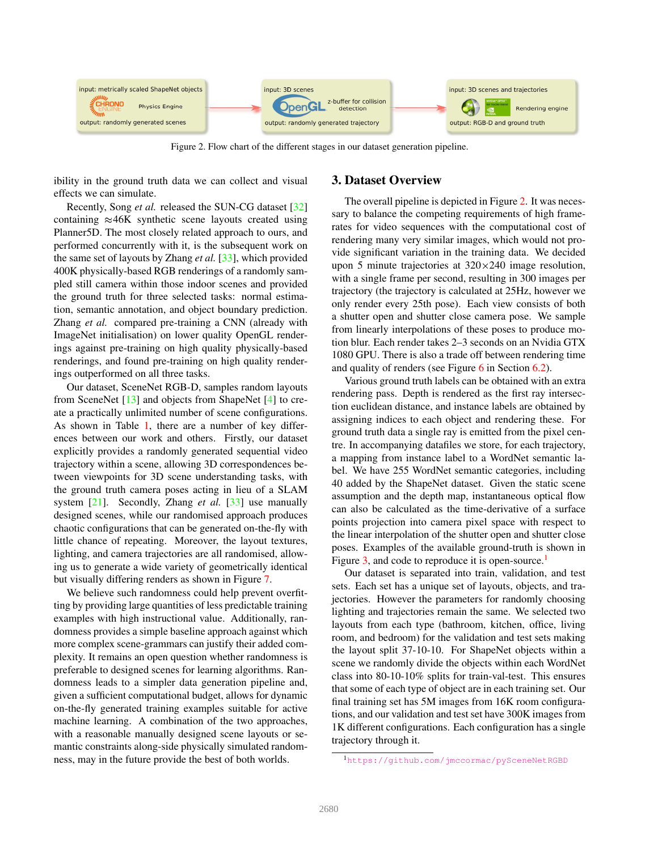<span id="page-2-3"></span>

<span id="page-2-1"></span>Figure 2. Flow chart of the different stages in our dataset generation pipeline.

ibility in the ground truth data we can collect and visual effects we can simulate.

Recently, Song *et al.* released the SUN-CG dataset [\[32\]](#page-9-1) containing  $\approx$ 46K synthetic scene layouts created using Planner5D. The most closely related approach to ours, and performed concurrently with it, is the subsequent work on the same set of layouts by Zhang *et al.* [\[33\]](#page-9-2), which provided 400K physically-based RGB renderings of a randomly sampled still camera within those indoor scenes and provided the ground truth for three selected tasks: normal estimation, semantic annotation, and object boundary prediction. Zhang *et al.* compared pre-training a CNN (already with ImageNet initialisation) on lower quality OpenGL renderings against pre-training on high quality physically-based renderings, and found pre-training on high quality renderings outperformed on all three tasks.

Our dataset, SceneNet RGB-D, samples random layouts from SceneNet [\[13\]](#page-8-5) and objects from ShapeNet [\[4\]](#page-8-17) to create a practically unlimited number of scene configurations. As shown in Table [1,](#page-1-0) there are a number of key differences between our work and others. Firstly, our dataset explicitly provides a randomly generated sequential video trajectory within a scene, allowing 3D correspondences between viewpoints for 3D scene understanding tasks, with the ground truth camera poses acting in lieu of a SLAM system [\[21\]](#page-8-18). Secondly, Zhang *et al.* [\[33\]](#page-9-2) use manually designed scenes, while our randomised approach produces chaotic configurations that can be generated on-the-fly with little chance of repeating. Moreover, the layout textures, lighting, and camera trajectories are all randomised, allowing us to generate a wide variety of geometrically identical but visually differing renders as shown in Figure [7.](#page-5-1)

We believe such randomness could help prevent overfitting by providing large quantities of less predictable training examples with high instructional value. Additionally, randomness provides a simple baseline approach against which more complex scene-grammars can justify their added complexity. It remains an open question whether randomness is preferable to designed scenes for learning algorithms. Randomness leads to a simpler data generation pipeline and, given a sufficient computational budget, allows for dynamic on-the-fly generated training examples suitable for active machine learning. A combination of the two approaches, with a reasonable manually designed scene layouts or semantic constraints along-side physically simulated randomness, may in the future provide the best of both worlds.

# <span id="page-2-0"></span>3. Dataset Overview

The overall pipeline is depicted in Figure [2.](#page-2-1) It was necessary to balance the competing requirements of high framerates for video sequences with the computational cost of rendering many very similar images, which would not provide significant variation in the training data. We decided upon 5 minute trajectories at  $320 \times 240$  image resolution, with a single frame per second, resulting in 300 images per trajectory (the trajectory is calculated at 25Hz, however we only render every 25th pose). Each view consists of both a shutter open and shutter close camera pose. We sample from linearly interpolations of these poses to produce motion blur. Each render takes 2–3 seconds on an Nvidia GTX 1080 GPU. There is also a trade off between rendering time and quality of renders (see Figure [6](#page-5-2) in Section [6.2\)](#page-4-1).

Various ground truth labels can be obtained with an extra rendering pass. Depth is rendered as the first ray intersection euclidean distance, and instance labels are obtained by assigning indices to each object and rendering these. For ground truth data a single ray is emitted from the pixel centre. In accompanying datafiles we store, for each trajectory, a mapping from instance label to a WordNet semantic label. We have 255 WordNet semantic categories, including 40 added by the ShapeNet dataset. Given the static scene assumption and the depth map, instantaneous optical flow can also be calculated as the time-derivative of a surface points projection into camera pixel space with respect to the linear interpolation of the shutter open and shutter close poses. Examples of the available ground-truth is shown in Figure [3,](#page-3-2) and code to reproduce it is open-source.<sup>[1](#page-2-2)</sup>

Our dataset is separated into train, validation, and test sets. Each set has a unique set of layouts, objects, and trajectories. However the parameters for randomly choosing lighting and trajectories remain the same. We selected two layouts from each type (bathroom, kitchen, office, living room, and bedroom) for the validation and test sets making the layout split 37-10-10. For ShapeNet objects within a scene we randomly divide the objects within each WordNet class into 80-10-10% splits for train-val-test. This ensures that some of each type of object are in each training set. Our final training set has 5M images from 16K room configurations, and our validation and test set have 300K images from 1K different configurations. Each configuration has a single trajectory through it.

<span id="page-2-2"></span><sup>1</sup><https://github.com/jmccormac/pySceneNetRGBD>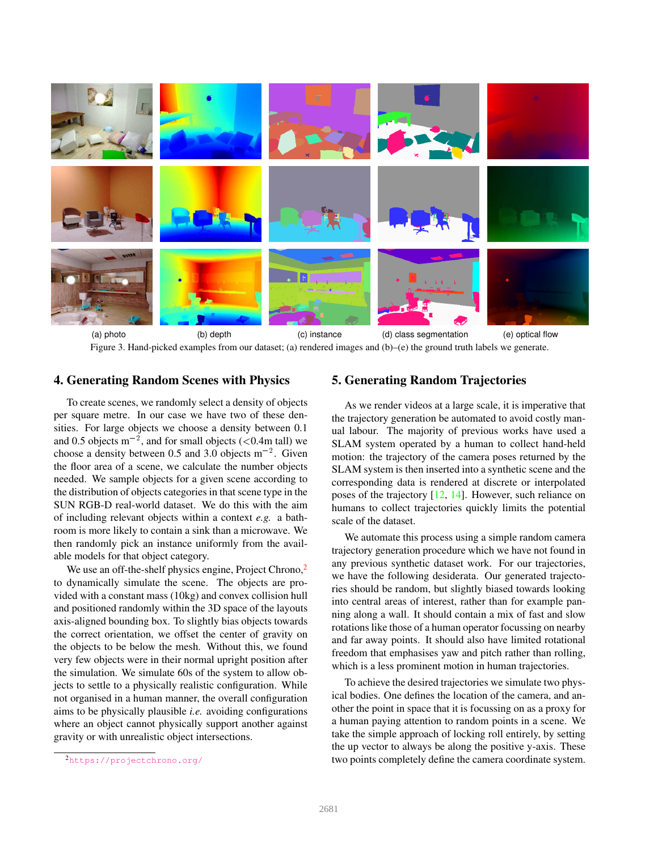<span id="page-3-4"></span>

(a) photo (b) depth (c) instance (d) class segmentation (e) optical flow Figure 3. Hand-picked examples from our dataset; (a) rendered images and (b)–(e) the ground truth labels we generate.

# <span id="page-3-2"></span><span id="page-3-0"></span>4. Generating Random Scenes with Physics

To create scenes, we randomly select a density of objects per square metre. In our case we have two of these densities. For large objects we choose a density between 0.1 and 0.5 objects  $m^{-2}$ , and for small objects (<0.4m tall) we choose a density between 0.5 and 3.0 objects  $m^{-2}$ . Given the floor area of a scene, we calculate the number objects needed. We sample objects for a given scene according to the distribution of objects categories in that scene type in the SUN RGB-D real-world dataset. We do this with the aim of including relevant objects within a context *e.g.* a bathroom is more likely to contain a sink than a microwave. We then randomly pick an instance uniformly from the available models for that object category.

We use an off-the-shelf physics engine, Project Chrono,<sup>[2](#page-3-3)</sup> to dynamically simulate the scene. The objects are provided with a constant mass (10kg) and convex collision hull and positioned randomly within the 3D space of the layouts axis-aligned bounding box. To slightly bias objects towards the correct orientation, we offset the center of gravity on the objects to be below the mesh. Without this, we found very few objects were in their normal upright position after the simulation. We simulate 60s of the system to allow objects to settle to a physically realistic configuration. While not organised in a human manner, the overall configuration aims to be physically plausible *i.e.* avoiding configurations where an object cannot physically support another against gravity or with unrealistic object intersections.

## <span id="page-3-1"></span>5. Generating Random Trajectories

As we render videos at a large scale, it is imperative that the trajectory generation be automated to avoid costly manual labour. The majority of previous works have used a SLAM system operated by a human to collect hand-held motion: the trajectory of the camera poses returned by the SLAM system is then inserted into a synthetic scene and the corresponding data is rendered at discrete or interpolated poses of the trajectory [\[12,](#page-8-19) [14\]](#page-8-20). However, such reliance on humans to collect trajectories quickly limits the potential scale of the dataset.

We automate this process using a simple random camera trajectory generation procedure which we have not found in any previous synthetic dataset work. For our trajectories, we have the following desiderata. Our generated trajectories should be random, but slightly biased towards looking into central areas of interest, rather than for example panning along a wall. It should contain a mix of fast and slow rotations like those of a human operator focussing on nearby and far away points. It should also have limited rotational freedom that emphasises yaw and pitch rather than rolling, which is a less prominent motion in human trajectories.

To achieve the desired trajectories we simulate two physical bodies. One defines the location of the camera, and another the point in space that it is focussing on as a proxy for a human paying attention to random points in a scene. We take the simple approach of locking roll entirely, by setting the up vector to always be along the positive y-axis. These two points completely define the camera coordinate system.

<span id="page-3-3"></span><sup>2</sup><https://projectchrono.org/>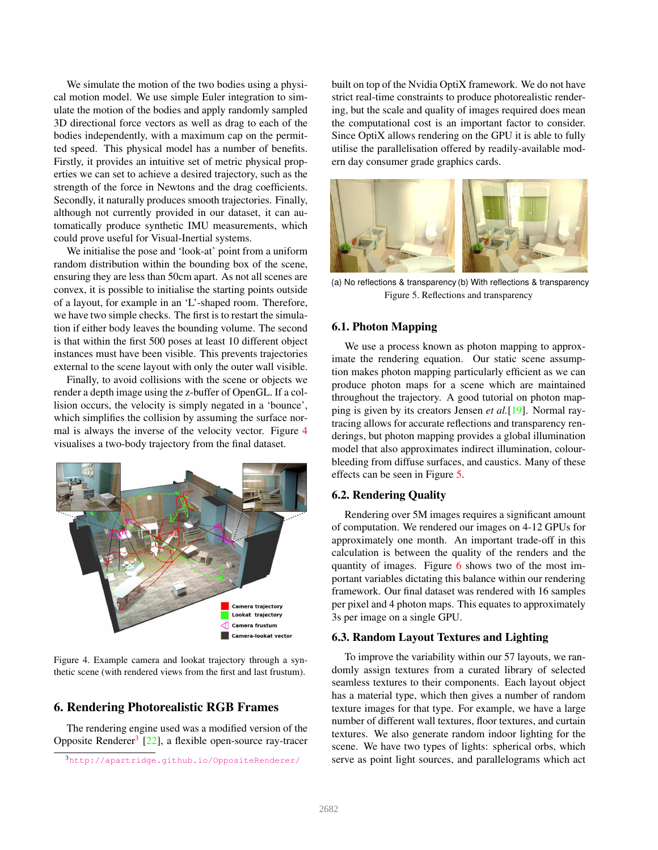<span id="page-4-5"></span>We simulate the motion of the two bodies using a physical motion model. We use simple Euler integration to simulate the motion of the bodies and apply randomly sampled 3D directional force vectors as well as drag to each of the bodies independently, with a maximum cap on the permitted speed. This physical model has a number of benefits. Firstly, it provides an intuitive set of metric physical properties we can set to achieve a desired trajectory, such as the strength of the force in Newtons and the drag coefficients. Secondly, it naturally produces smooth trajectories. Finally, although not currently provided in our dataset, it can automatically produce synthetic IMU measurements, which could prove useful for Visual-Inertial systems.

We initialise the pose and 'look-at' point from a uniform random distribution within the bounding box of the scene, ensuring they are less than 50cm apart. As not all scenes are convex, it is possible to initialise the starting points outside of a layout, for example in an 'L'-shaped room. Therefore, we have two simple checks. The first is to restart the simulation if either body leaves the bounding volume. The second is that within the first 500 poses at least 10 different object instances must have been visible. This prevents trajectories external to the scene layout with only the outer wall visible.

Finally, to avoid collisions with the scene or objects we render a depth image using the z-buffer of OpenGL. If a collision occurs, the velocity is simply negated in a 'bounce', which simplifies the collision by assuming the surface normal is always the inverse of the velocity vector. Figure [4](#page-4-2) visualises a two-body trajectory from the final dataset.



Figure 4. Example camera and lookat trajectory through a synthetic scene (with rendered views from the first and last frustum).

# <span id="page-4-2"></span><span id="page-4-0"></span>6. Rendering Photorealistic RGB Frames

The rendering engine used was a modified version of the Opposite Renderer<sup>[3](#page-4-3)</sup> [\[22\]](#page-8-21), a flexible open-source ray-tracer

built on top of the Nvidia OptiX framework. We do not have strict real-time constraints to produce photorealistic rendering, but the scale and quality of images required does mean the computational cost is an important factor to consider. Since OptiX allows rendering on the GPU it is able to fully utilise the parallelisation offered by readily-available modern day consumer grade graphics cards.



(a) No reflections & transparency (b) With reflections & transparency Figure 5. Reflections and transparency

#### <span id="page-4-4"></span>6.1. Photon Mapping

We use a process known as photon mapping to approximate the rendering equation. Our static scene assumption makes photon mapping particularly efficient as we can produce photon maps for a scene which are maintained throughout the trajectory. A good tutorial on photon mapping is given by its creators Jensen *et al.*[\[19\]](#page-8-22). Normal raytracing allows for accurate reflections and transparency renderings, but photon mapping provides a global illumination model that also approximates indirect illumination, colourbleeding from diffuse surfaces, and caustics. Many of these effects can be seen in Figure [5.](#page-4-4)

#### <span id="page-4-1"></span>6.2. Rendering Quality

Rendering over 5M images requires a significant amount of computation. We rendered our images on 4-12 GPUs for approximately one month. An important trade-off in this calculation is between the quality of the renders and the quantity of images. Figure [6](#page-5-2) shows two of the most important variables dictating this balance within our rendering framework. Our final dataset was rendered with 16 samples per pixel and 4 photon maps. This equates to approximately 3s per image on a single GPU.

#### 6.3. Random Layout Textures and Lighting

To improve the variability within our 57 layouts, we randomly assign textures from a curated library of selected seamless textures to their components. Each layout object has a material type, which then gives a number of random texture images for that type. For example, we have a large number of different wall textures, floor textures, and curtain textures. We also generate random indoor lighting for the scene. We have two types of lights: spherical orbs, which serve as point light sources, and parallelograms which act

<span id="page-4-3"></span><sup>3</sup><http://apartridge.github.io/OppositeRenderer/>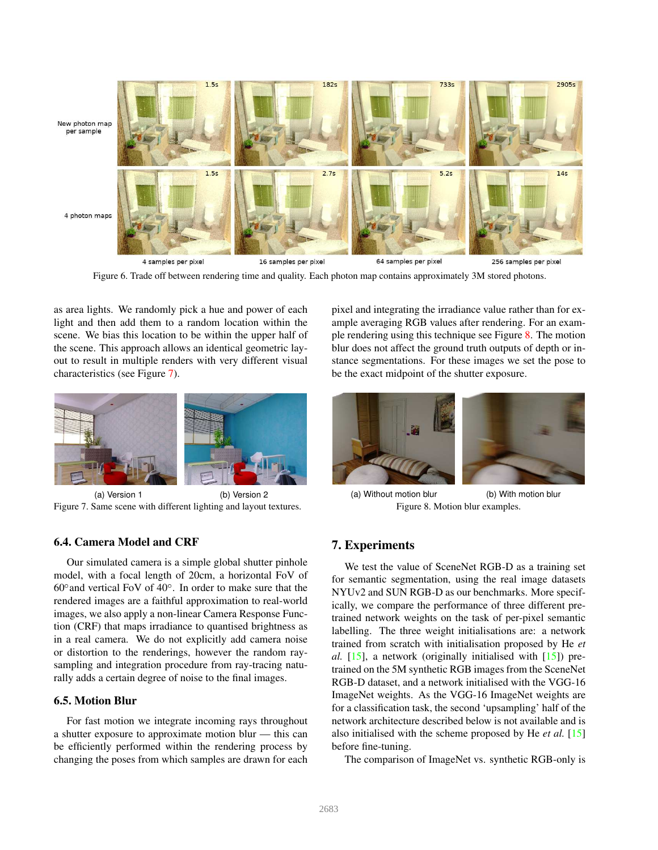<span id="page-5-4"></span>

Figure 6. Trade off between rendering time and quality. Each photon map contains approximately 3M stored photons.

<span id="page-5-2"></span>as area lights. We randomly pick a hue and power of each light and then add them to a random location within the scene. We bias this location to be within the upper half of the scene. This approach allows an identical geometric layout to result in multiple renders with very different visual characteristics (see Figure [7\)](#page-5-1).



(a) Version 1 (b) Version 2 Figure 7. Same scene with different lighting and layout textures.

## <span id="page-5-1"></span>6.4. Camera Model and CRF

Our simulated camera is a simple global shutter pinhole model, with a focal length of 20cm, a horizontal FoV of  $60^\circ$  and vertical FoV of  $40^\circ$ . In order to make sure that the rendered images are a faithful approximation to real-world images, we also apply a non-linear Camera Response Function (CRF) that maps irradiance to quantised brightness as in a real camera. We do not explicitly add camera noise or distortion to the renderings, however the random raysampling and integration procedure from ray-tracing naturally adds a certain degree of noise to the final images.

## 6.5. Motion Blur

For fast motion we integrate incoming rays throughout a shutter exposure to approximate motion blur — this can be efficiently performed within the rendering process by changing the poses from which samples are drawn for each

pixel and integrating the irradiance value rather than for example averaging RGB values after rendering. For an example rendering using this technique see Figure [8.](#page-5-3) The motion blur does not affect the ground truth outputs of depth or instance segmentations. For these images we set the pose to be the exact midpoint of the shutter exposure.



(a) Without motion blur (b) With motion blur Figure 8. Motion blur examples.

# <span id="page-5-3"></span><span id="page-5-0"></span>7. Experiments

We test the value of SceneNet RGB-D as a training set for semantic segmentation, using the real image datasets NYUv2 and SUN RGB-D as our benchmarks. More specifically, we compare the performance of three different pretrained network weights on the task of per-pixel semantic labelling. The three weight initialisations are: a network trained from scratch with initialisation proposed by He *et al.* [\[15\]](#page-8-23), a network (originally initialised with [\[15\]](#page-8-23)) pretrained on the 5M synthetic RGB images from the SceneNet RGB-D dataset, and a network initialised with the VGG-16 ImageNet weights. As the VGG-16 ImageNet weights are for a classification task, the second 'upsampling' half of the network architecture described below is not available and is also initialised with the scheme proposed by He *et al.* [\[15\]](#page-8-23) before fine-tuning.

The comparison of ImageNet vs. synthetic RGB-only is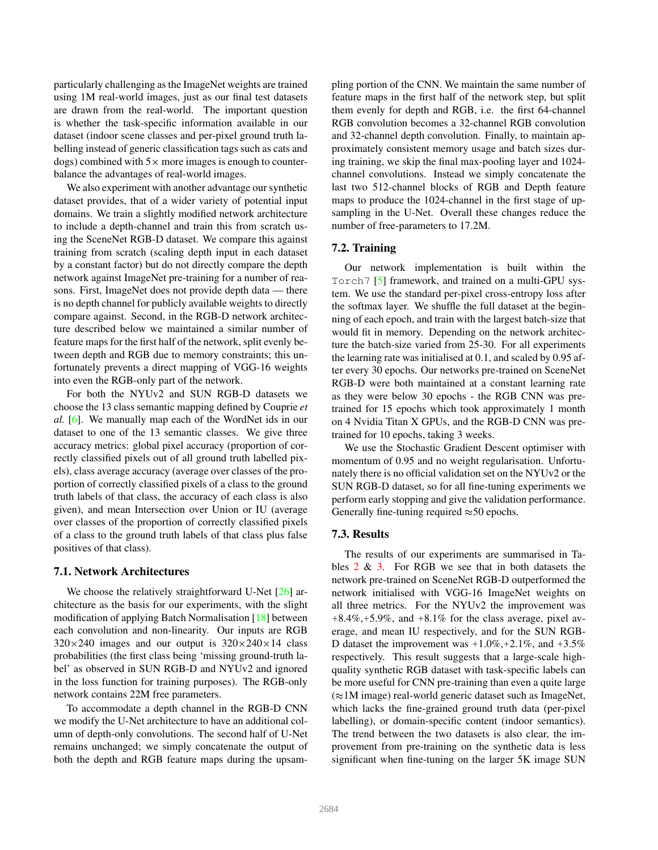<span id="page-6-0"></span>particularly challenging as the ImageNet weights are trained using 1M real-world images, just as our final test datasets are drawn from the real-world. The important question is whether the task-specific information available in our dataset (indoor scene classes and per-pixel ground truth labelling instead of generic classification tags such as cats and dogs) combined with  $5 \times$  more images is enough to counterbalance the advantages of real-world images.

We also experiment with another advantage our synthetic dataset provides, that of a wider variety of potential input domains. We train a slightly modified network architecture to include a depth-channel and train this from scratch using the SceneNet RGB-D dataset. We compare this against training from scratch (scaling depth input in each dataset by a constant factor) but do not directly compare the depth network against ImageNet pre-training for a number of reasons. First, ImageNet does not provide depth data — there is no depth channel for publicly available weights to directly compare against. Second, in the RGB-D network architecture described below we maintained a similar number of feature maps for the first half of the network, split evenly between depth and RGB due to memory constraints; this unfortunately prevents a direct mapping of VGG-16 weights into even the RGB-only part of the network.

For both the NYUv2 and SUN RGB-D datasets we choose the 13 class semantic mapping defined by Couprie *et al.* [\[6\]](#page-8-24). We manually map each of the WordNet ids in our dataset to one of the 13 semantic classes. We give three accuracy metrics: global pixel accuracy (proportion of correctly classified pixels out of all ground truth labelled pixels), class average accuracy (average over classes of the proportion of correctly classified pixels of a class to the ground truth labels of that class, the accuracy of each class is also given), and mean Intersection over Union or IU (average over classes of the proportion of correctly classified pixels of a class to the ground truth labels of that class plus false positives of that class).

#### 7.1. Network Architectures

We choose the relatively straightforward U-Net [\[26\]](#page-8-25) architecture as the basis for our experiments, with the slight modification of applying Batch Normalisation [\[18\]](#page-8-26) between each convolution and non-linearity. Our inputs are RGB  $320 \times 240$  images and our output is  $320 \times 240 \times 14$  class probabilities (the first class being 'missing ground-truth label' as observed in SUN RGB-D and NYUv2 and ignored in the loss function for training purposes). The RGB-only network contains 22M free parameters.

To accommodate a depth channel in the RGB-D CNN we modify the U-Net architecture to have an additional column of depth-only convolutions. The second half of U-Net remains unchanged; we simply concatenate the output of both the depth and RGB feature maps during the upsampling portion of the CNN. We maintain the same number of feature maps in the first half of the network step, but split them evenly for depth and RGB, i.e. the first 64-channel RGB convolution becomes a 32-channel RGB convolution and 32-channel depth convolution. Finally, to maintain approximately consistent memory usage and batch sizes during training, we skip the final max-pooling layer and 1024 channel convolutions. Instead we simply concatenate the last two 512-channel blocks of RGB and Depth feature maps to produce the 1024-channel in the first stage of upsampling in the U-Net. Overall these changes reduce the number of free-parameters to 17.2M.

#### 7.2. Training

Our network implementation is built within the Torch7 [\[5\]](#page-8-27) framework, and trained on a multi-GPU system. We use the standard per-pixel cross-entropy loss after the softmax layer. We shuffle the full dataset at the beginning of each epoch, and train with the largest batch-size that would fit in memory. Depending on the network architecture the batch-size varied from 25-30. For all experiments the learning rate was initialised at 0.1, and scaled by 0.95 after every 30 epochs. Our networks pre-trained on SceneNet RGB-D were both maintained at a constant learning rate as they were below 30 epochs - the RGB CNN was pretrained for 15 epochs which took approximately 1 month on 4 Nvidia Titan X GPUs, and the RGB-D CNN was pretrained for 10 epochs, taking 3 weeks.

We use the Stochastic Gradient Descent optimiser with momentum of 0.95 and no weight regularisation. Unfortunately there is no official validation set on the NYUv2 or the SUN RGB-D dataset, so for all fine-tuning experiments we perform early stopping and give the validation performance. Generally fine-tuning required  $\approx$  50 epochs.

#### 7.3. Results

The results of our experiments are summarised in Tables  $2 \& 3$  $2 \& 3$ . For RGB we see that in both datasets the network pre-trained on SceneNet RGB-D outperformed the network initialised with VGG-16 ImageNet weights on all three metrics. For the NYUv2 the improvement was  $+8.4\%, +5.9\%,$  and  $+8.1\%$  for the class average, pixel average, and mean IU respectively, and for the SUN RGB-D dataset the improvement was  $+1.0\%, +2.1\%$ , and  $+3.5\%$ respectively. This result suggests that a large-scale highquality synthetic RGB dataset with task-specific labels can be more useful for CNN pre-training than even a quite large  $(\approx 1$ M image) real-world generic dataset such as ImageNet, which lacks the fine-grained ground truth data (per-pixel labelling), or domain-specific content (indoor semantics). The trend between the two datasets is also clear, the improvement from pre-training on the synthetic data is less significant when fine-tuning on the larger 5K image SUN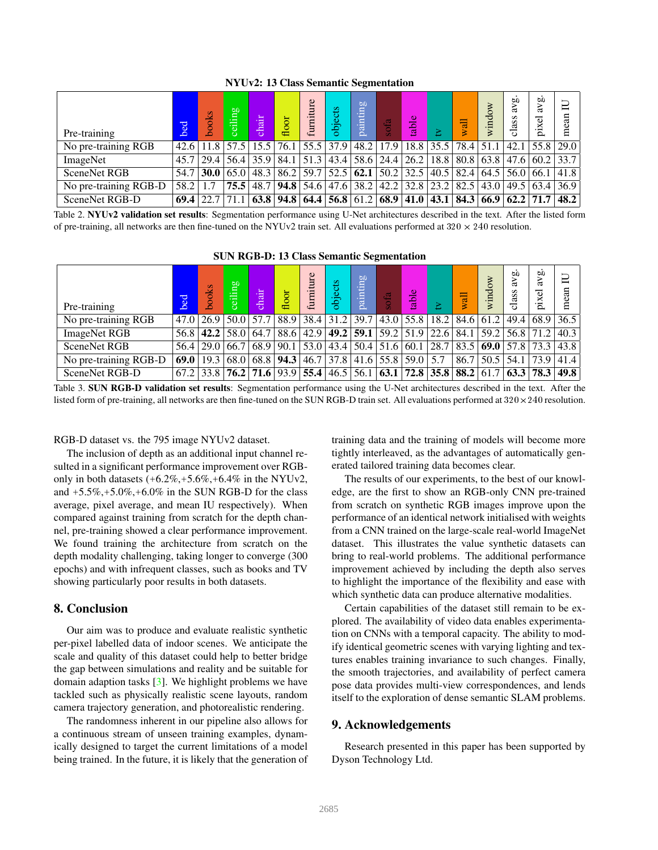<span id="page-7-2"></span>

| Pre-training          | bed         | oods | $\mathbf{m}$<br>≔<br>e. | chail         | floor | furniture            | objects | <b>b</b><br><b>Film</b><br>ಡ | ofa                                                                                                                            | ∸<br>$\mathbf{a}$ |             | Wall | windo | <b>bD</b><br>s<br>S<br>$\frac{a}{b}$ | ЪD<br>ದ<br>ಕ<br>.x                             | $\Box$<br>an<br>Ξ |
|-----------------------|-------------|------|-------------------------|---------------|-------|----------------------|---------|------------------------------|--------------------------------------------------------------------------------------------------------------------------------|-------------------|-------------|------|-------|--------------------------------------|------------------------------------------------|-------------------|
| No pre-training RGB   | 42.6        |      | $11.8$ 57.5             | 15.5          | 76.1  | 55.5                 | 37.9    |                              | $48.2$   17.9                                                                                                                  |                   | $18.8$ 35.5 | 78.4 | 51.1  | 42.1                                 | 55.8 29.0                                      |                   |
| ImageNet              | 45.7        | 29.4 |                         |               |       | 56.4 35.9 84.1 51.3  |         |                              | 43.4 58.6 24.4 26.2 18.8                                                                                                       |                   |             | 80.8 |       |                                      | $63.8$   47.6   60.2   33.7                    |                   |
| <b>SceneNet RGB</b>   | 54.7        | 30.0 |                         | $65.0$   48.3 |       |                      |         |                              | $\left  86.2 \right  59.7 \left  52.5 \right  62.1 \left  50.2 \right  32.5 \left  40.5 \right  82.4 \left  56.2 \right  52.6$ |                   |             |      |       |                                      | $(64.5 \, \, 56.0 \, \, 66.1 \, \, 41.8 \, \,$ |                   |
| No pre-training RGB-D | 58.2        |      |                         | $75.5$   48.7 |       | 94.8 54.6            |         |                              | 47.6   38.2   42.2   32.8   23.2   82.5                                                                                        |                   |             |      |       |                                      | 43.0   49.5   63.4   36.9                      |                   |
| SceneNet RGB-D        | <b>69.4</b> | 22.7 |                         |               |       | $63.8$   94.8   64.4 |         |                              | $\mid$ 56.8 $\mid$ 61.2 $\mid$ 68.9 $\mid$ 41.0 $\mid$ 43.1 $\mid$                                                             |                   |             | 84.3 |       |                                      | $66.9$ 62.2 71.7                               | 48.2              |

NYUv2: 13 Class Semantic Segmentation

<span id="page-7-0"></span>Table 2. NYUv2 validation set results: Segmentation performance using U-Net architectures described in the text. After the listed form of pre-training, all networks are then fine-tuned on the NYUv2 train set. All evaluations performed at  $320 \times 240$  resolution.

#### SUN RGB-D: 13 Class Semantic Segmentation

| Pre-training          | bed  | books | $\mathbf{m}$<br>ceil        | $\overline{\text{chair}}$ | floor              | furniture                          | objects | <b>b</b><br>painting | dfa                    | able                                                                  | Σ    | wall | window    | 6O<br>lass<br>$\circ$ | <b>b</b><br>à<br>xel<br><u>'ਧ</u> | $\Box$<br>mean |
|-----------------------|------|-------|-----------------------------|---------------------------|--------------------|------------------------------------|---------|----------------------|------------------------|-----------------------------------------------------------------------|------|------|-----------|-----------------------|-----------------------------------|----------------|
| No pre-training RGB   | 47.0 |       | $26.9$   50.0   57.7   88.9 |                           |                    | 38.4                               |         |                      |                        | $31.2$   39.7   43.0   55.8   18.2                                    |      |      | 84.6 61.2 |                       | 49.4 68.9 36.5                    |                |
| <b>ImageNet RGB</b>   | 56.8 | 42.2  |                             |                           | 58.0 64.7 88.6     | 42.9                               |         |                      | 49.2 $ 59.1 59.2 51.9$ |                                                                       | 22.6 | 84.1 | 59.2      | $56.8$ 71.2           |                                   | 40.3           |
| <b>SceneNet RGB</b>   | 56.4 | 29.0  |                             |                           |                    | 66.7   68.9   90.1   53.0          |         |                      |                        | $43.4 50.4 51.6 60.1 28.7 83.5 69.0 57.8 73.3 43.8$                   |      |      |           |                       |                                   |                |
| No pre-training RGB-D | 69.0 | 19.3  |                             |                           | 68.0   68.8   94.3 | 46.7                               |         |                      |                        | $37.8$ 41.6 55.8 59.0 5.7                                             |      | 86.7 | 50.5      |                       | $54.1$   73.9   41.4              |                |
| SceneNet RGB-D        | 67.2 |       |                             |                           |                    | $33.8$   76.2   71.6   93.9   55.4 |         |                      |                        | $46.5$   56.1   63.1   72.8   35.8   88.2   61.7   63.3   78.3   49.8 |      |      |           |                       |                                   |                |

<span id="page-7-1"></span>Table 3. SUN RGB-D validation set results: Segmentation performance using the U-Net architectures described in the text. After the listed form of pre-training, all networks are then fine-tuned on the SUN RGB-D train set. All evaluations performed at  $320 \times 240$  resolution.

#### RGB-D dataset vs. the 795 image NYUv2 dataset.

The inclusion of depth as an additional input channel resulted in a significant performance improvement over RGBonly in both datasets  $(+6.2\%, +5.6\%, +6.4\%$  in the NYUv2, and  $+5.5\%, +5.0\%, +6.0\%$  in the SUN RGB-D for the class average, pixel average, and mean IU respectively). When compared against training from scratch for the depth channel, pre-training showed a clear performance improvement. We found training the architecture from scratch on the depth modality challenging, taking longer to converge (300 epochs) and with infrequent classes, such as books and TV showing particularly poor results in both datasets.

#### 8. Conclusion

Our aim was to produce and evaluate realistic synthetic per-pixel labelled data of indoor scenes. We anticipate the scale and quality of this dataset could help to better bridge the gap between simulations and reality and be suitable for domain adaption tasks [\[3\]](#page-8-28). We highlight problems we have tackled such as physically realistic scene layouts, random camera trajectory generation, and photorealistic rendering.

The randomness inherent in our pipeline also allows for a continuous stream of unseen training examples, dynamically designed to target the current limitations of a model being trained. In the future, it is likely that the generation of training data and the training of models will become more tightly interleaved, as the advantages of automatically generated tailored training data becomes clear.

The results of our experiments, to the best of our knowledge, are the first to show an RGB-only CNN pre-trained from scratch on synthetic RGB images improve upon the performance of an identical network initialised with weights from a CNN trained on the large-scale real-world ImageNet dataset. This illustrates the value synthetic datasets can bring to real-world problems. The additional performance improvement achieved by including the depth also serves to highlight the importance of the flexibility and ease with which synthetic data can produce alternative modalities.

Certain capabilities of the dataset still remain to be explored. The availability of video data enables experimentation on CNNs with a temporal capacity. The ability to modify identical geometric scenes with varying lighting and textures enables training invariance to such changes. Finally, the smooth trajectories, and availability of perfect camera pose data provides multi-view correspondences, and lends itself to the exploration of dense semantic SLAM problems.

## 9. Acknowledgements

Research presented in this paper has been supported by Dyson Technology Ltd.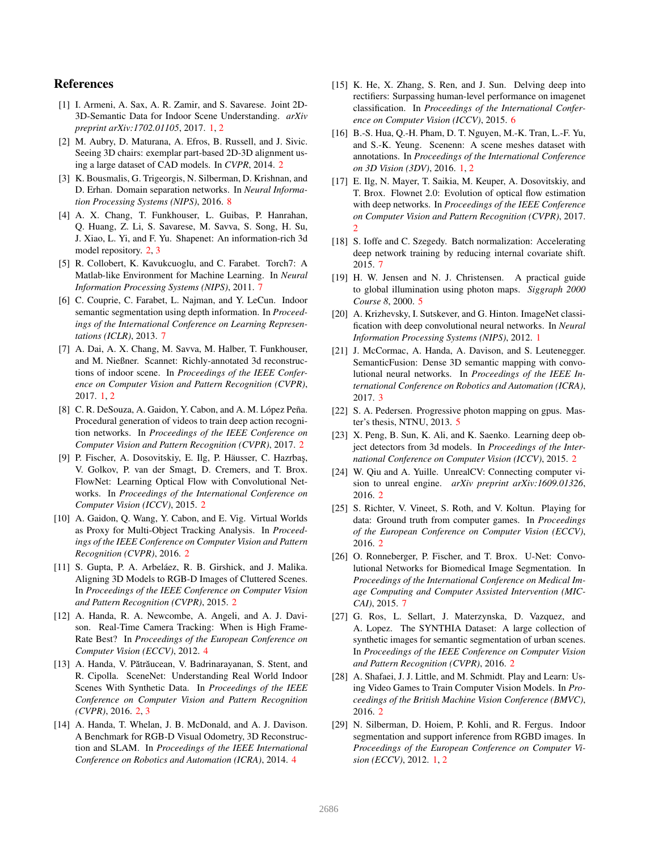## References

- <span id="page-8-3"></span>[1] I. Armeni, A. Sax, A. R. Zamir, and S. Savarese. Joint 2D-3D-Semantic Data for Indoor Scene Understanding. *arXiv preprint arXiv:1702.01105*, 2017. [1,](#page-0-0) [2](#page-1-1)
- <span id="page-8-6"></span>[2] M. Aubry, D. Maturana, A. Efros, B. Russell, and J. Sivic. Seeing 3D chairs: exemplar part-based 2D-3D alignment using a large dataset of CAD models. In *CVPR*, 2014. [2](#page-1-1)
- <span id="page-8-28"></span>[3] K. Bousmalis, G. Trigeorgis, N. Silberman, D. Krishnan, and D. Erhan. Domain separation networks. In *Neural Information Processing Systems (NIPS)*, 2016. [8](#page-7-2)
- <span id="page-8-17"></span>[4] A. X. Chang, T. Funkhouser, L. Guibas, P. Hanrahan, Q. Huang, Z. Li, S. Savarese, M. Savva, S. Song, H. Su, J. Xiao, L. Yi, and F. Yu. Shapenet: An information-rich 3d model repository. [2,](#page-1-1) [3](#page-2-3)
- <span id="page-8-27"></span>[5] R. Collobert, K. Kavukcuoglu, and C. Farabet. Torch7: A Matlab-like Environment for Machine Learning. In *Neural Information Processing Systems (NIPS)*, 2011. [7](#page-6-0)
- <span id="page-8-24"></span>[6] C. Couprie, C. Farabet, L. Najman, and Y. LeCun. Indoor semantic segmentation using depth information. In *Proceedings of the International Conference on Learning Representations (ICLR)*, 2013. [7](#page-6-0)
- <span id="page-8-4"></span>[7] A. Dai, A. X. Chang, M. Savva, M. Halber, T. Funkhouser, and M. Nießner. Scannet: Richly-annotated 3d reconstructions of indoor scene. In *Proceedings of the IEEE Conference on Computer Vision and Pattern Recognition (CVPR)*, 2017. [1,](#page-0-0) [2](#page-1-1)
- <span id="page-8-11"></span>[8] C. R. DeSouza, A. Gaidon, Y. Cabon, and A. M. López Peña. Procedural generation of videos to train deep action recognition networks. In *Proceedings of the IEEE Conference on Computer Vision and Pattern Recognition (CVPR)*, 2017. [2](#page-1-1)
- <span id="page-8-9"></span>[9] P. Fischer, A. Dosovitskiy, E. Ilg, P. Häusser, C. Hazrbaş, V. Golkov, P. van der Smagt, D. Cremers, and T. Brox. FlowNet: Learning Optical Flow with Convolutional Networks. In *Proceedings of the International Conference on Computer Vision (ICCV)*, 2015. [2](#page-1-1)
- <span id="page-8-15"></span>[10] A. Gaidon, Q. Wang, Y. Cabon, and E. Vig. Virtual Worlds as Proxy for Multi-Object Tracking Analysis. In *Proceedings of the IEEE Conference on Computer Vision and Pattern Recognition (CVPR)*, 2016. [2](#page-1-1)
- <span id="page-8-7"></span>[11] S. Gupta, P. A. Arbeláez, R. B. Girshick, and J. Malika. Aligning 3D Models to RGB-D Images of Cluttered Scenes. In *Proceedings of the IEEE Conference on Computer Vision and Pattern Recognition (CVPR)*, 2015. [2](#page-1-1)
- <span id="page-8-19"></span>[12] A. Handa, R. A. Newcombe, A. Angeli, and A. J. Davison. Real-Time Camera Tracking: When is High Frame-Rate Best? In *Proceedings of the European Conference on Computer Vision (ECCV)*, 2012. [4](#page-3-4)
- <span id="page-8-5"></span>[13] A. Handa, V. Pătrăucean, V. Badrinarayanan, S. Stent, and R. Cipolla. SceneNet: Understanding Real World Indoor Scenes With Synthetic Data. In *Proceedings of the IEEE Conference on Computer Vision and Pattern Recognition (CVPR)*, 2016. [2,](#page-1-1) [3](#page-2-3)
- <span id="page-8-20"></span>[14] A. Handa, T. Whelan, J. B. McDonald, and A. J. Davison. A Benchmark for RGB-D Visual Odometry, 3D Reconstruction and SLAM. In *Proceedings of the IEEE International Conference on Robotics and Automation (ICRA)*, 2014. [4](#page-3-4)
- <span id="page-8-23"></span>[15] K. He, X. Zhang, S. Ren, and J. Sun. Delving deep into rectifiers: Surpassing human-level performance on imagenet classification. In *Proceedings of the International Conference on Computer Vision (ICCV)*, 2015. [6](#page-5-4)
- <span id="page-8-2"></span>[16] B.-S. Hua, Q.-H. Pham, D. T. Nguyen, M.-K. Tran, L.-F. Yu, and S.-K. Yeung. Scenenn: A scene meshes dataset with annotations. In *Proceedings of the International Conference on 3D Vision (3DV)*, 2016. [1,](#page-0-0) [2](#page-1-1)
- <span id="page-8-10"></span>[17] E. Ilg, N. Mayer, T. Saikia, M. Keuper, A. Dosovitskiy, and T. Brox. Flownet 2.0: Evolution of optical flow estimation with deep networks. In *Proceedings of the IEEE Conference on Computer Vision and Pattern Recognition (CVPR)*, 2017. [2](#page-1-1)
- <span id="page-8-26"></span>[18] S. Ioffe and C. Szegedy. Batch normalization: Accelerating deep network training by reducing internal covariate shift. 2015. [7](#page-6-0)
- <span id="page-8-22"></span>[19] H. W. Jensen and N. J. Christensen. A practical guide to global illumination using photon maps. *Siggraph 2000 Course 8*, 2000. [5](#page-4-5)
- <span id="page-8-0"></span>[20] A. Krizhevsky, I. Sutskever, and G. Hinton. ImageNet classification with deep convolutional neural networks. In *Neural Information Processing Systems (NIPS)*, 2012. [1](#page-0-0)
- <span id="page-8-18"></span>[21] J. McCormac, A. Handa, A. Davison, and S. Leutenegger. SemanticFusion: Dense 3D semantic mapping with convolutional neural networks. In *Proceedings of the IEEE International Conference on Robotics and Automation (ICRA)*, 2017. [3](#page-2-3)
- <span id="page-8-21"></span>[22] S. A. Pedersen. Progressive photon mapping on gpus. Master's thesis, NTNU, 2013. [5](#page-4-5)
- <span id="page-8-8"></span>[23] X. Peng, B. Sun, K. Ali, and K. Saenko. Learning deep object detectors from 3d models. In *Proceedings of the International Conference on Computer Vision (ICCV)*, 2015. [2](#page-1-1)
- <span id="page-8-16"></span>[24] W. Qiu and A. Yuille. UnrealCV: Connecting computer vision to unreal engine. *arXiv preprint arXiv:1609.01326*, 2016. [2](#page-1-1)
- <span id="page-8-13"></span>[25] S. Richter, V. Vineet, S. Roth, and V. Koltun. Playing for data: Ground truth from computer games. In *Proceedings of the European Conference on Computer Vision (ECCV)*, 2016. [2](#page-1-1)
- <span id="page-8-25"></span>[26] O. Ronneberger, P. Fischer, and T. Brox. U-Net: Convolutional Networks for Biomedical Image Segmentation. In *Proceedings of the International Conference on Medical Image Computing and Computer Assisted Intervention (MIC-CAI)*, 2015. [7](#page-6-0)
- <span id="page-8-12"></span>[27] G. Ros, L. Sellart, J. Materzynska, D. Vazquez, and A. Lopez. The SYNTHIA Dataset: A large collection of synthetic images for semantic segmentation of urban scenes. In *Proceedings of the IEEE Conference on Computer Vision and Pattern Recognition (CVPR)*, 2016. [2](#page-1-1)
- <span id="page-8-14"></span>[28] A. Shafaei, J. J. Little, and M. Schmidt. Play and Learn: Using Video Games to Train Computer Vision Models. In *Proceedings of the British Machine Vision Conference (BMVC)*, 2016. [2](#page-1-1)
- <span id="page-8-1"></span>[29] N. Silberman, D. Hoiem, P. Kohli, and R. Fergus. Indoor segmentation and support inference from RGBD images. In *Proceedings of the European Conference on Computer Vision (ECCV)*, 2012. [1,](#page-0-0) [2](#page-1-1)